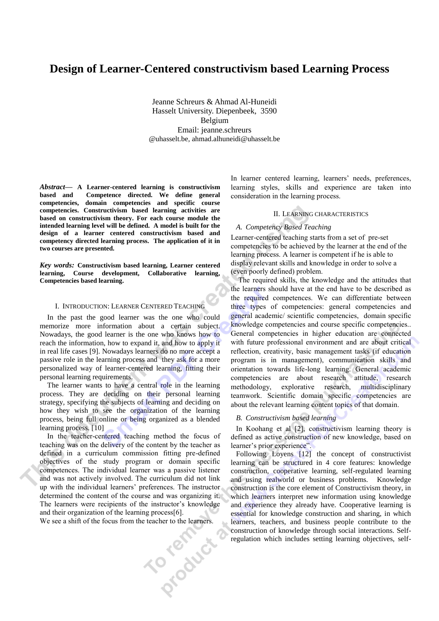# **Design of Learner-Centered constructivism based Learning Process**

Jeanne Schreurs & Ahmad Al-Huneidi Hasselt University. Diepenbeek, 3590 Belgium Email: jeanne.schreurs @uhasselt.be, ahmad.alhuneidi@uhasselt.be

*Abstract—* **A Learner-centered learning is constructivism based and Competence directed. We define general competencies, domain competencies and specific course competencies. Constructivism based learning activities are based on constructivism theory. For each course module the intended learning level will be defined. A model is built for the design of a learner centered constructivism based and competency directed learning process. The application of it in two courses are presented.**

*Key words:* **Constructivism based learning, Learner centered learning, Course development, Collaborative learning, Competencies based learning.**

#### I. INTRODUCTION: LEARNER CENTERED TEACHING

In the past the good learner was the one who could memorize more information about a certain subject. Nowadays, the good learner is the one who knows how to reach the information, how to expand it, and how to apply it in real life cases [9]. Nowadays learners do no more accept a passive role in the learning process and they ask for a more personalized way of learner-centered learning, fitting their personal learning requirements.

The learner wants to have a central role in the learning process. They are deciding on their personal learning strategy, specifying the subjects of learning and deciding on how they wish to see the organization of the learning process, being full online or being organized as a blended learning process. [10]

In the teacher-centered teaching method the focus of teaching was on the delivery of the content by the teacher as defined in a curriculum commission fitting pre-defined objectives of the study program or domain specific competences. The individual learner was a passive listener and was not actively involved. The curriculum did not link up with the individual learners' preferences. The instructor determined the content of the course and was organizing it. The learners were recipients of the instructor's knowledge and their organization of the learning process[6].<br>We see a shift of the focus from the teacher to the learners.

We see a shift of the focus from the teacher to the learners.

In learner centered learning, learners' needs, preferences, learning styles, skills and experience are taken into consideration in the learning process.

# II. LEARNING CHARACTERISTICS

#### *A. Competency Based Teaching*

Learner-centered teaching starts from a set of pre-set competencies to be achieved by the learner at the end of the learning process. A learner is competent if he is able to display relevant skills and knowledge in order to solve a (even poorly defined) problem.

The required skills, the knowledge and the attitudes that the learners should have at the end have to be described as the required competences. We can differentiate between three types of competencies: general competencies and general academic/ scientific competencies, domain specific knowledge competencies and course specific competencies.. General competencies in higher education are connected with future professional environment and are about critical reflection, creativity, basic management tasks (if education program is in management), communication skills and orientation towards life-long learning. General academic competencies are about research attitude, research methodology, explorative research, multidisciplinary teamwork. Scientific domain specific competencies are about the relevant learning content topics of that domain.

#### *B. Constructivism based learning*

In Koohang et al [2], constructivism learning theory is defined as active construction of new knowledge, based on learner's prior experience".

Following Loyens [12] the concept of constructivist learning can be structured in 4 core features: knowledge construction, cooperative learning, self-regulated learning and using realworld or business problems. Knowledge construction is the core element of Constructivism theory, in which learners interpret new information using knowledge and experience they already have. Cooperative learning is essential for knowledge construction and sharing, in which learners, teachers, and business people contribute to the construction of knowledge through social interactions. Selfregulation which includes setting learning objectives, self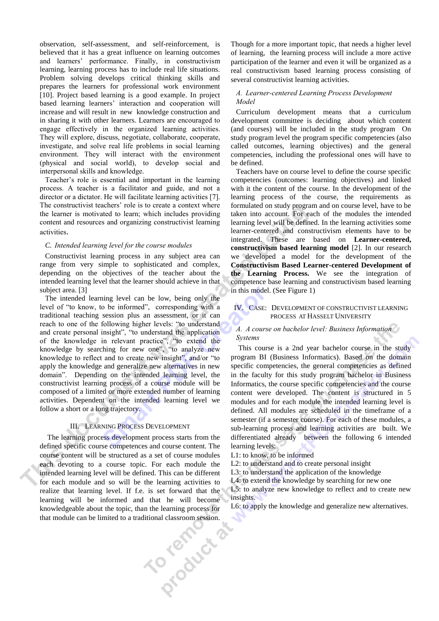observation, self-assessment, and self-reinforcement, is believed that it has a great influence on learning outcomes and learners' performance. Finally, in constructivism learning, learning process has to include real life situations. Problem solving develops critical thinking skills and prepares the learners for professional work environment [10]. Project based learning is a good example. In project based learning learners' interaction and cooperation will increase and will result in new knowledge construction and in sharing it with other learners. Learners are encouraged to engage effectively in the organized learning activities. They will explore, discuss, negotiate, collaborate, cooperate, investigate, and solve real life problems in social learning environment. They will interact with the environment (physical and social world), to develop social and interpersonal skills and knowledge.

Teacher's role is essential and important in the learning process. A teacher is a facilitator and guide, and not a director or a dictator. He will facilitate learning activities [7]. The constructivist teachers' role is to create a context where the learner is motivated to learn; which includes providing content and resources and organizing constructivist learning activities.

# *C. Intended learning level for the course modules*

Constructivist learning process in any subject area can range from very simple to sophisticated and complex, depending on the objectives of the teacher about the intended learning level that the learner should achieve in that subject area. [3]

The intended learning level can be low, being only the level of "to know, to be informed", corresponding with a traditional teaching session plus an assessment, or it can reach to one of the following higher levels: "to understand and create personal insight", "to understand the application of the knowledge in relevant practice", "to extend the knowledge by searching for new one", "to analyze new knowledge to reflect and to create new insight", and/or "to apply the knowledge and generalize new alternatives in new domain". Depending on the intended learning level, the constructivist learning process of a course module will be composed of a limited or more extended number of learning activities. Dependent on the intended learning level we follow a short or a long trajectory.

#### III. LEARNING PROCESS DEVELOPMENT

The learning process development process starts from the defined specific course competences and course content. The course content will be structured as a set of course modules each devoting to a course topic. For each module the intended learning level will be defined. This can be different for each module and so will be the learning activities to realize that learning level. If f.e. is set forward that the learning will be informed and that he will become<br>knowledgeable about the topic, than the learning process for<br>that module can be limited to a traditional classroom session. knowledgeable about the topic, than the learning process for that module can be limited to a traditional classroom session.

Though for a more important topic, that needs a higher level of learning, the learning process will include a more active participation of the learner and even it will be organized as a real constructivism based learning process consisting of several constructivist learning activities.

# *A. Learner-centered Learning Process Development Model*

Curriculum development means that a curriculum development committee is deciding about which content (and courses) will be included in the study program On study program level the program specific competencies (also called outcomes, learning objectives) and the general competencies, including the professional ones will have to be defined.

Teachers have on course level to define the course specific competencies (outcomes: learning objectives) and linked with it the content of the course. In the development of the learning process of the course, the requirements as formulated on study program and on course level, have to be taken into account. For each of the modules the intended learning level will be defined. In the learning activities some learner-centered and constructivism elements have to be integrated. These are based on **Learner-centered, constructivism based learning model** [2]. In our research we developed a model for the development of the **Constructivism Based Learner-centered Development of the Learning Process.** We see the integration of competence base learning and constructivism based learning in this model. (See Figure 1)

### IV. CASE: DEVELOPMENT OF CONSTRUCTIVIST LEARNING PROCESS AT HASSELT UNIVERSITY

# *A. A course on bachelor level: Business Information Systems*

This course is a 2nd year bachelor course in the study program BI (Business Informatics). Based on the domain specific competencies, the general competencies as defined in the faculty for this study program bachelor in Business Informatics, the course specific competencies and the course content were developed. The content is structured in 5 modules and for each module the intended learning level is defined. All modules are scheduled in the timeframe of a semester (if a semester course). For each of these modules, a sub-learning process and learning activities are built. We differentiated already between the following 6 intended learning levels:

L1: to know, to be informed

L2: to understand and to create personal insight

L3: to understand the application of the knowledge

L4: to extend the knowledge by searching for new one

L5: to analyze new knowledge to reflect and to create new insights.

L6: to apply the knowledge and generalize new alternatives.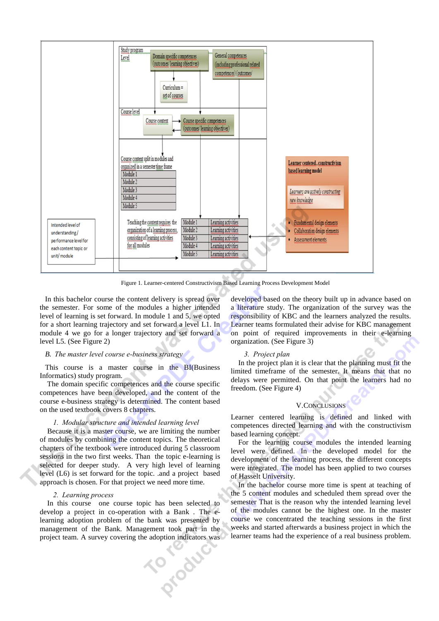

Figure 1. Learner-centered Constructivism Based Learning Process Development Model

In this bachelor course the content delivery is spread over the semester. For some of the modules a higher intended level of learning is set forward. In module 1 and 5, we opted for a short learning trajectory and set forward a level L1. In module 4 we go for a longer trajectory and set forward a level L5. (See Figure 2)

# *B. The master level course e-business strategy*

This course is a master course in the BI(Business Informatics) study program.

The domain specific competences and the course specific competences have been developed, and the content of the course e-business strategy is determined. The content based on the used textbook covers 8 chapters.

# *1. Modular structure and intended learning level*

Because it is a master course, we are limiting the number of modules by combining the content topics. The theoretical chapters of the textbook were introduced during 5 classroom sessions in the two first weeks. Than the topic e-learning is selected for deeper study. A very high level of learning level (L6) is set forward for the topic. .and a project based approach is chosen. For that project we need more time.

#### *2. Learning process*

In this course one course topic has been selected to develop a project in co-operation with a Bank . The elearning adoption problem of the bank was presented by management of the Bank. Management took part in the project team. A survey covering the adoption indicators was<br>
stated that the adoption indicators was<br>
stated that the adoption indicators was<br>
stated that the adoption indicators was<br>
stated to the adoption indicators was<br>

developed based on the theory built up in advance based on a literature study. The organization of the survey was the responsibility of KBC and the learners analyzed the results. Learner teams formulated their advise for KBC management on point of required improvements in their e-learning organization. (See Figure 3)

#### *3. Project plan*

In the project plan it is clear that the planning must fit the limited timeframe of the semester. It means that that no delays were permitted. On that point the learners had no freedom. (See Figure 4)

#### V.CONCLUSIONS

Learner centered learning is defined and linked with competences directed learning and with the constructivism based learning concept.

For the learning course modules the intended learning level were defined. In the developed model for the development of the learning process, the different concepts were integrated. The model has been applied to two courses of Hasselt University.

In the bachelor course more time is spent at teaching of the 5 content modules and scheduled them spread over the semester That is the reason why the intended learning level of the modules cannot be the highest one. In the master course we concentrated the teaching sessions in the first weeks and started afterwards a business project in which the learner teams had the experience of a real business problem.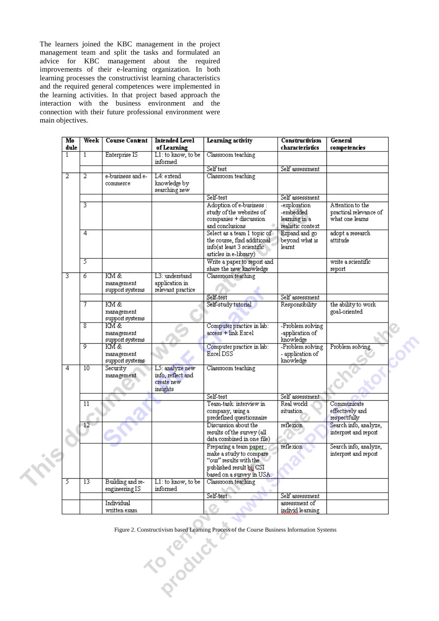The learners joined the KBC management in the project management team and split the tasks and formulated an advice for KBC management about the required improvements of their e-learning organization. In both learning processes the constructivist learning characteristics and the required general competences were implemented in the learning activities. In that project based approach the interaction with the business environment and the connection with their future professional environment were main objectives.

| M <sub>0</sub><br>dule | Week            | <b>Course Content</b>                 | <b>Intended Level</b><br>of Learning                           | Learning activity                                                                                                                     | <b>Constructivism</b><br>characteristics          | General<br>competencies                       |
|------------------------|-----------------|---------------------------------------|----------------------------------------------------------------|---------------------------------------------------------------------------------------------------------------------------------------|---------------------------------------------------|-----------------------------------------------|
| $\overline{1}$         | $\mathbf{1}$    | Enterprise IS                         | L1: to know, to be                                             | Classroom teaching                                                                                                                    |                                                   |                                               |
|                        |                 |                                       | informed                                                       |                                                                                                                                       |                                                   |                                               |
|                        |                 |                                       |                                                                | Self test                                                                                                                             | Self assessment                                   |                                               |
| $\overline{2}$         | $\overline{2}$  | e-business and e-<br>commerce         | L4: extend<br>knowledge by                                     | Classroom teaching                                                                                                                    |                                                   |                                               |
|                        |                 |                                       | searching new                                                  | Self-test                                                                                                                             | Self assessment                                   |                                               |
|                        | 3               |                                       |                                                                | Adoption of e-business :                                                                                                              | -exploration                                      | Attention to the                              |
|                        |                 |                                       |                                                                | study of the websites of<br>companies + discussion                                                                                    | -embedded<br>learning in a                        | practical relevance of<br>what one learns     |
|                        |                 |                                       |                                                                | and conclusions                                                                                                                       | realistic context                                 |                                               |
|                        | 4               |                                       |                                                                | Select as a team 1 topic of<br>the course, find additional<br>info(at least 3 scientific<br>articles in e-library)                    | Expand and go<br>beyond what is<br>learnt         | adopt a research<br>attitude                  |
|                        | 5               |                                       |                                                                | Write a paper to report and<br>share the new knowledge                                                                                |                                                   | write a scientific<br>report                  |
| 3                      | 6               | KM&                                   | L3: understand                                                 | Classroom teaching                                                                                                                    |                                                   |                                               |
|                        |                 | management<br>support systems         | application in<br>relevant practice                            |                                                                                                                                       |                                                   |                                               |
|                        |                 |                                       |                                                                | Self-test                                                                                                                             | Self assessment                                   |                                               |
|                        | 7               | KM &                                  |                                                                | Self-study tutorial                                                                                                                   | <b>Responsibility</b>                             | the ability to work                           |
|                        |                 | management<br>support systems         |                                                                |                                                                                                                                       |                                                   | goal-oriented                                 |
|                        | 8               | KM &                                  |                                                                | Computer practice in lab:                                                                                                             | -Problem solving                                  |                                               |
|                        |                 | management<br>support systems         |                                                                | $access + link Excel$                                                                                                                 | -application of<br>knowledge                      |                                               |
|                        | 9               | KM &<br>management<br>support systems |                                                                | Computer practice in lab:<br>Excel DSS                                                                                                | -Problem solving<br>- application of<br>knowledge | Problem solving                               |
| $\overline{4}$         | 10              | Security<br>management                | L5: analyze new<br>info, reflect and<br>create new<br>insights | Classroom teaching                                                                                                                    |                                                   |                                               |
|                        |                 |                                       |                                                                | Self-test                                                                                                                             | Self assessment                                   |                                               |
|                        | 11              |                                       |                                                                | Team-task: interview in<br>company, using a                                                                                           | Real world<br>situation.                          | Communicate<br>effectively and                |
|                        |                 |                                       |                                                                | predefined questionnaire                                                                                                              |                                                   | respectfully                                  |
|                        | 12              |                                       |                                                                | Discussion about the<br>results of the survey (all<br>data combined in one file)                                                      | reflexion                                         | Search info, analyze,<br>interpret and report |
|                        |                 |                                       |                                                                | Preparing a team paper.<br>make a study to compare<br>"our" results with the<br>published result bij CSI<br>based on a survey in USA. | reflexion                                         | Search info, analyze,<br>interpret and report |
| 5                      | $\overline{13}$ | Building and re-<br>engineering IS    | $L1$ : to know, to be<br>informed                              | Classroom teaching                                                                                                                    |                                                   |                                               |
|                        |                 |                                       |                                                                | Self-test                                                                                                                             | Self assessment                                   |                                               |
|                        |                 | Individual                            |                                                                |                                                                                                                                       | assessment of                                     |                                               |
|                        |                 | written exam                          |                                                                |                                                                                                                                       | individ learning                                  |                                               |
|                        |                 |                                       |                                                                |                                                                                                                                       |                                                   |                                               |

Figure 2. Constructivism based Learning Process of the Course Business Information Systems

÷h.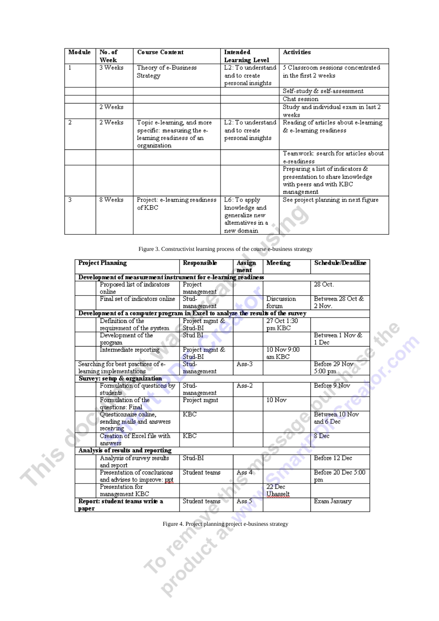| Module | No. of  | <b>Course Content</b>         | Intended                          | <b>Activities</b>                    |
|--------|---------|-------------------------------|-----------------------------------|--------------------------------------|
|        | Week    |                               | Learning Level                    |                                      |
|        | 3 Weeks | Theory of e-Business          | L2: To understand                 | 5 Classroom sessions concentrated    |
|        |         | Strategy                      | and to create                     | in the first 2 weeks.                |
|        |         |                               | personal insights                 |                                      |
|        |         |                               |                                   | Self-study & self-assessment         |
|        |         |                               |                                   | Chat session                         |
|        | 2 Weeks |                               |                                   | Study and individual exam in last 2  |
|        |         |                               |                                   | weeks                                |
| 2      | 2 Weeks | Topic e-learning, and more    | L2: To understand                 | Reading of articles about e-learning |
|        |         | specific: measuring the e-    | and to create                     | & e-learning readiness               |
|        |         | learning readiness of an      | personal insights                 |                                      |
|        |         | organization                  |                                   |                                      |
|        |         |                               |                                   | Teamwork: search for articles about  |
|        |         |                               |                                   | e-readiness                          |
|        |         |                               |                                   | Preparing a list of indicators &     |
|        |         |                               |                                   | presentation to share knowledge      |
|        |         |                               |                                   | with peers and with KBC              |
|        |         |                               |                                   | management                           |
| 3      | 8 Weeks | Project: e-learning readiness | $\overline{\text{L6}}$ : To apply | See project planning in next figure. |
|        |         | ofKBC                         | knowledge and                     |                                      |
|        |         |                               | generalize new                    |                                      |
|        |         |                               | alternatives in a                 |                                      |
|        |         |                               | new domain                        |                                      |

| Figure 3. Constructivist learning process of the course e-business strategy |  |  |  |
|-----------------------------------------------------------------------------|--|--|--|
|                                                                             |  |  |  |

| Project Planning                                                                | Responsible               | Assign<br>ment     | Meeting               | Schedule/Deadline        |
|---------------------------------------------------------------------------------|---------------------------|--------------------|-----------------------|--------------------------|
| Development of measurement instrument for e-learning readiness                  |                           |                    |                       |                          |
| Proposed list of indicators                                                     | Project                   |                    |                       | 28 Oct.                  |
| online                                                                          | management                |                    |                       |                          |
| Final set of indicators online                                                  | Stud-                     |                    | Discussion            | Between 28 Oct &         |
|                                                                                 | management                |                    | forum                 | 2 Nov.                   |
| Development of a computer program in Excel to analyze the results of the survey |                           |                    |                       |                          |
| Definition of the                                                               | Project mgmt &            |                    | 27 Oct 1:30           |                          |
| requirement of the system                                                       | Stud-BI                   |                    | pm KBC                |                          |
| Development of the<br>program                                                   | Stud BI                   |                    |                       | Between 1 Nov &<br>1 Dec |
| Intermediate reporting                                                          | Project mgmt &<br>Stud-BI |                    | 10 Nov 9:00<br>am KBC | E COM                    |
| Searching for best practices of e-                                              | Stud-                     | $\overline{Ass-3}$ |                       | Before 29 Nov            |
| learning implementations                                                        | management                |                    |                       | $5:00~\rm{pm}$           |
| Survey: setup & organization                                                    |                           |                    |                       |                          |
| Formulation of questions by<br>students                                         | Stud-<br>management       | $Ass-2$            |                       | Before 9 Nov             |
| Formulation of the<br>questions: Final                                          | Project mgmt              |                    | $10$ Nov              |                          |
| Questionnaire online,                                                           | KBC                       |                    |                       | Between 10 Nov           |
| sending mails and answers<br>receiving                                          |                           |                    |                       | and 6 Dec                |
| Creation of Excel file with<br>answers                                          | KBC                       |                    |                       | 8 Dec                    |
| Analysis of results and reporting                                               |                           |                    |                       |                          |
| Analysis of survey results<br>and report                                        | Stud-BI                   |                    |                       | Before 12 Dec            |
| Presentation of conclusions                                                     | Student teams             | Ass 4              |                       | Before 20 Dec 5:00       |
| and advises to improve: ppt                                                     |                           |                    |                       | pm                       |
| Presentation for                                                                |                           |                    | $22$ Dec              |                          |
| management KBC                                                                  |                           |                    | Uhasselt              |                          |
| Report: student teams write a                                                   | Student teams             | Ass 5              |                       | Exam January             |
|                                                                                 |                           |                    |                       |                          |